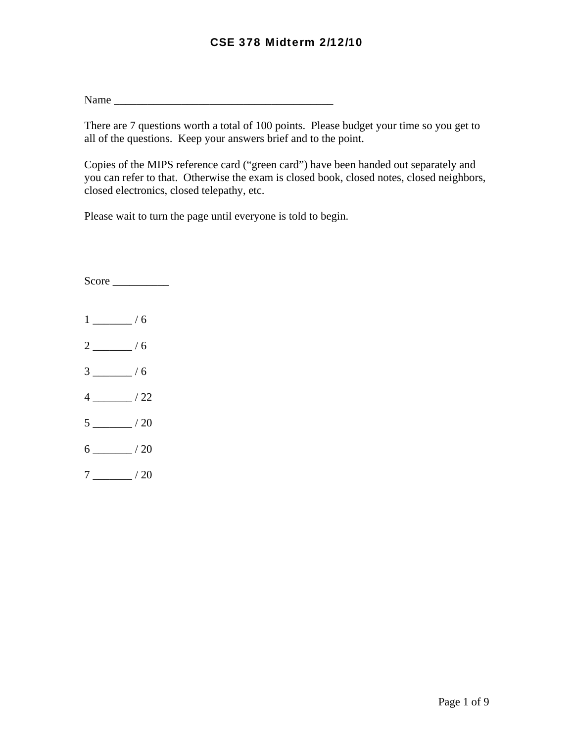Name \_\_\_\_\_\_\_\_\_\_\_\_\_\_\_\_\_\_\_\_\_\_\_\_\_\_\_\_\_\_\_\_\_\_\_\_\_\_\_

There are 7 questions worth a total of 100 points. Please budget your time so you get to all of the questions. Keep your answers brief and to the point.

Copies of the MIPS reference card ("green card") have been handed out separately and you can refer to that. Otherwise the exam is closed book, closed notes, closed neighbors, closed electronics, closed telepathy, etc.

Please wait to turn the page until everyone is told to begin.

Score \_\_\_\_\_\_\_\_\_\_  $1 \_/6$ 2  $/6$  $3 \quad 4 \quad 6$  $4 \_/22$  $5 \_/20$  $6 \_$ /20  $7 \_/20$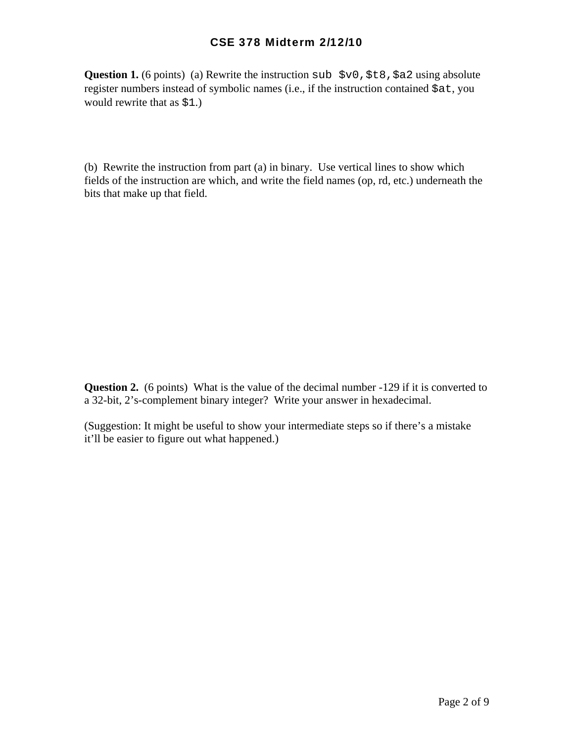**Question 1.** (6 points) (a) Rewrite the instruction sub  $$v0$ ,  $$t8$ ,  $$a2$  using absolute register numbers instead of symbolic names (i.e., if the instruction contained \$at, you would rewrite that as \$1.)

(b) Rewrite the instruction from part (a) in binary. Use vertical lines to show which fields of the instruction are which, and write the field names (op, rd, etc.) underneath the bits that make up that field.

**Question 2.** (6 points) What is the value of the decimal number -129 if it is converted to a 32-bit, 2's-complement binary integer? Write your answer in hexadecimal.

(Suggestion: It might be useful to show your intermediate steps so if there's a mistake it'll be easier to figure out what happened.)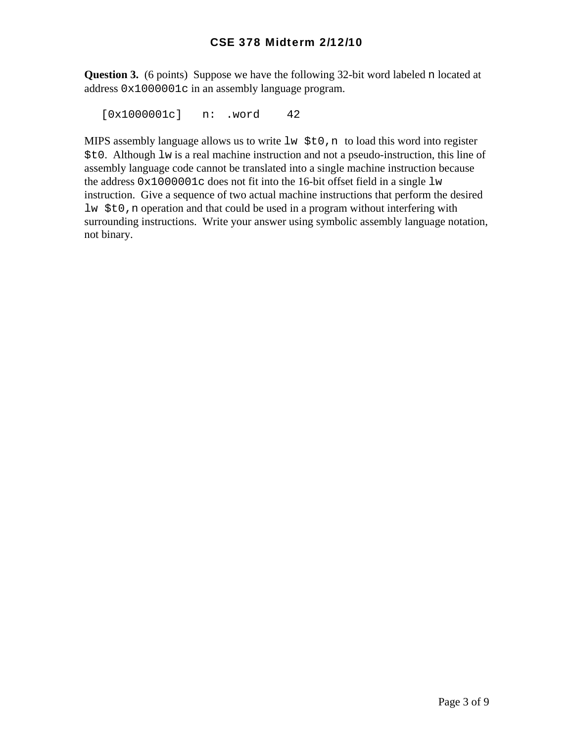**Question 3.** (6 points) Suppose we have the following 32-bit word labeled n located at address 0x1000001c in an assembly language program.

[0x1000001c] n: .word 42

MIPS assembly language allows us to write  $\exists w \xi \in 0$ , n to load this word into register \$t0. Although lw is a real machine instruction and not a pseudo-instruction, this line of assembly language code cannot be translated into a single machine instruction because the address  $0 \times 1000001c$  does not fit into the 16-bit offset field in a single  $1w$ instruction. Give a sequence of two actual machine instructions that perform the desired lw \$t0,n operation and that could be used in a program without interfering with surrounding instructions. Write your answer using symbolic assembly language notation, not binary.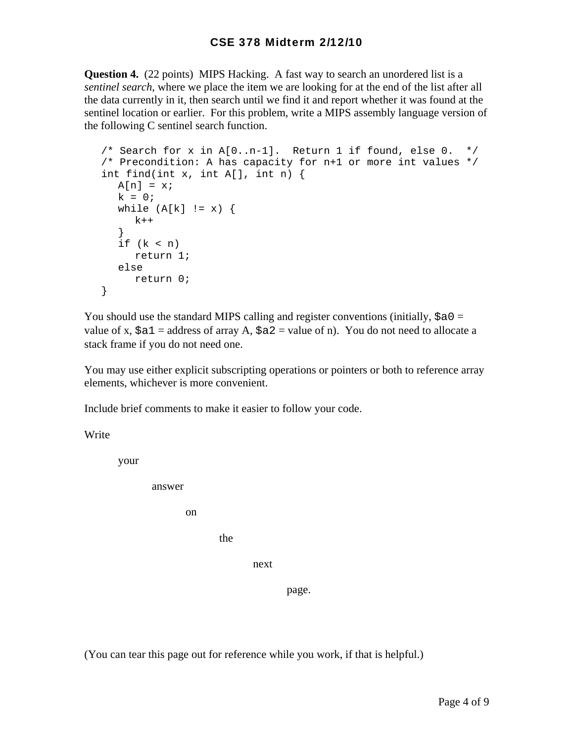**Question 4.** (22 points) MIPS Hacking. A fast way to search an unordered list is a *sentinel search*, where we place the item we are looking for at the end of the list after all the data currently in it, then search until we find it and report whether it was found at the sentinel location or earlier. For this problem, write a MIPS assembly language version of the following C sentinel search function.

```
/* Search for x in A[0..n-1]. Return 1 if found, else 0. */
/* Precondition: A has capacity for n+1 or more int values */ 
int find(int x, int A[], int n) { 
 A[n] = x;k = 0;while (A[k] := x) {
    k++ } 
 if (k < n) return 1; 
  else 
     return 0; 
}
```
You should use the standard MIPS calling and register conventions (initially,  $\frac{1}{2}a0 =$ value of x,  $\xi a1$  = address of array A,  $\xi a2$  = value of n). You do not need to allocate a stack frame if you do not need one.

You may use either explicit subscripting operations or pointers or both to reference array elements, whichever is more convenient.

Include brief comments to make it easier to follow your code.

Write

your

answer

on

the state of the state of the state of the state of the state of the state of the state of the state of the state of the state of the state of the state of the state of the state of the state of the state of the state of t

next

page.

(You can tear this page out for reference while you work, if that is helpful.)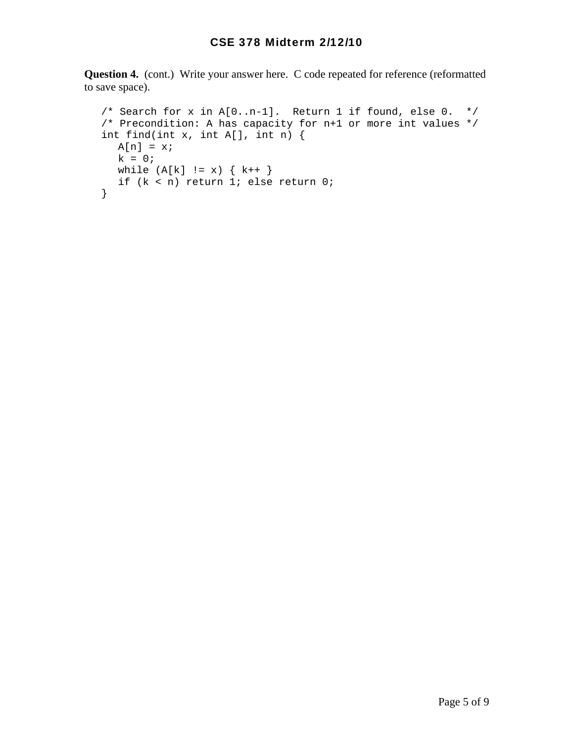**Question 4.** (cont.) Write your answer here. C code repeated for reference (reformatted to save space).

```
 /* Search for x in A[0..n-1]. Return 1 if found, else 0. */ 
/* Precondition: A has capacity for n+1 or more int values */ 
int find(int x, int A[], int n) { 
 A[n] = x;k = 0;while (A[k] := x) \{k++\} if (k < n) return 1; else return 0; 
}
```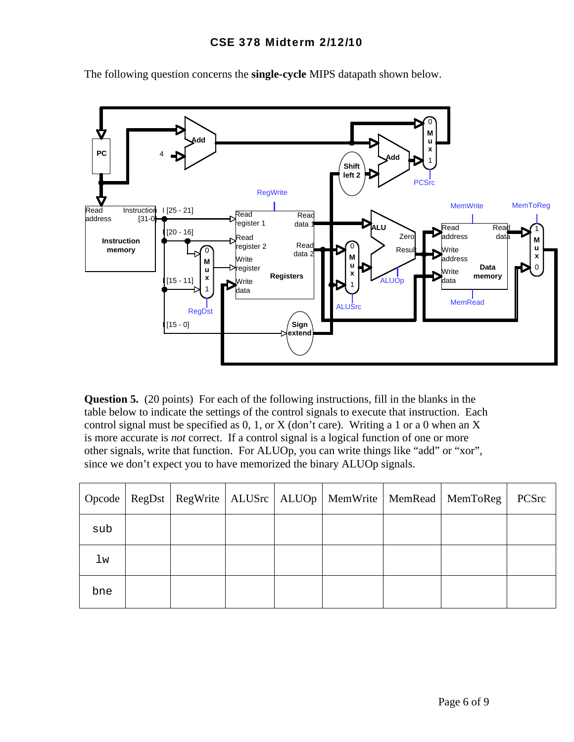

The following question concerns the **single-cycle** MIPS datapath shown below.

**Question 5.** (20 points) For each of the following instructions, fill in the blanks in the table below to indicate the settings of the control signals to execute that instruction. Each control signal must be specified as  $0, 1$ , or X (don't care). Writing a 1 or a 0 when an X is more accurate is *not* correct. If a control signal is a logical function of one or more other signals, write that function. For ALUOp, you can write things like "add" or "xor", since we don't expect you to have memorized the binary ALUOp signals.

|     |  |  |  | Opcode   RegDst   RegWrite   ALUSrc   ALUOp   MemWrite   MemRead   MemToReg | PCSrc |
|-----|--|--|--|-----------------------------------------------------------------------------|-------|
| sub |  |  |  |                                                                             |       |
| lw  |  |  |  |                                                                             |       |
| bne |  |  |  |                                                                             |       |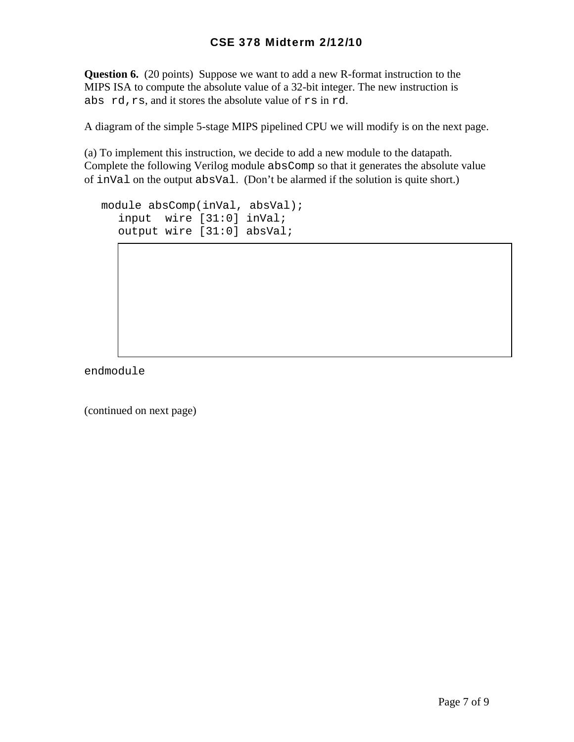**Question 6.** (20 points) Suppose we want to add a new R-format instruction to the MIPS ISA to compute the absolute value of a 32-bit integer. The new instruction is abs rd,rs, and it stores the absolute value of rs in rd.

A diagram of the simple 5-stage MIPS pipelined CPU we will modify is on the next page.

(a) To implement this instruction, we decide to add a new module to the datapath. Complete the following Verilog module absComp so that it generates the absolute value of inVal on the output absVal. (Don't be alarmed if the solution is quite short.)

```
module absComp(inVal, absVal);
  input wire [31:0] inVal; 
  output wire [31:0] absVal;
```
endmodule

(continued on next page)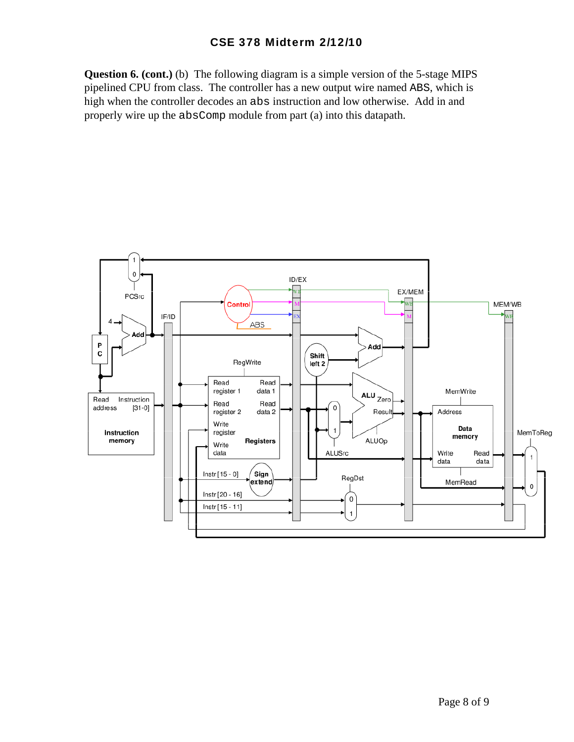**Question 6. (cont.)** (b) The following diagram is a simple version of the 5-stage MIPS pipelined CPU from class. The controller has a new output wire named ABS, which is high when the controller decodes an abs instruction and low otherwise. Add in and properly wire up the absComp module from part (a) into this datapath.